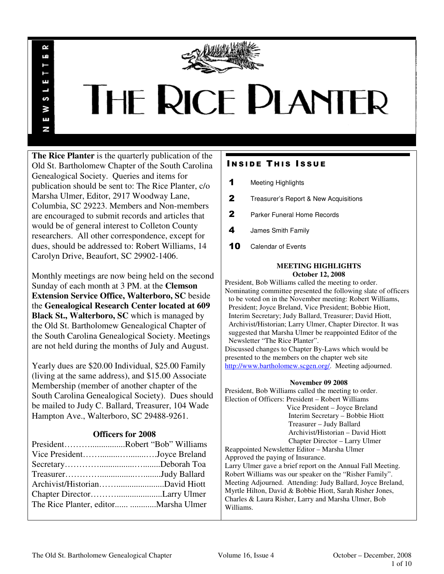

# THE RICE PLANTER

**The Rice Planter** is the quarterly publication of the Old St. Bartholomew Chapter of the South Carolina Genealogical Society. Queries and items for publication should be sent to: The Rice Planter, c/o Marsha Ulmer, Editor, 2917 Woodway Lane, Columbia, SC 29223. Members and Non-members are encouraged to submit records and articles that would be of general interest to Colleton County researchers. All other correspondence, except for dues, should be addressed to: Robert Williams, 14 Carolyn Drive, Beaufort, SC 29902-1406.

R uń

П

S ¥ Ŧ N

Monthly meetings are now being held on the second Sunday of each month at 3 PM. at the **Clemson Extension Service Office, Walterboro, SC** beside the **Genealogical Research Center located at 609 Black St., Walterboro, SC** which is managed by the Old St. Bartholomew Genealogical Chapter of the South Carolina Genealogical Society. Meetings are not held during the months of July and August.

Yearly dues are \$20.00 Individual, \$25.00 Family (living at the same address), and \$15.00 Associate Membership (member of another chapter of the South Carolina Genealogical Society). Dues should be mailed to Judy C. Ballard, Treasurer, 104 Wade Hampton Ave., Walterboro, SC 29488-9261.

# **Officers for 2008**

| PresidentRobert "Bob" Williams |  |
|--------------------------------|--|
| Vice PresidentJoyce Breland    |  |
|                                |  |
|                                |  |
|                                |  |
|                                |  |
|                                |  |
|                                |  |

# **INSIDE THIS ISSUE**

- 1 Meeting Highlights
- 2 Treasurer's Report & New Acquisitions
- 2 Parker Funeral Home Records
- 4 James Smith Family
- 10 Calendar of Events

# **MEETING HIGHLIGHTS October 12, 2008**

President, Bob Williams called the meeting to order. Nominating committee presented the following slate of officers to be voted on in the November meeting: Robert Williams, President; Joyce Breland, Vice President; Bobbie Hiott, Interim Secretary; Judy Ballard, Treasurer; David Hiott, Archivist/Historian; Larry Ulmer, Chapter Director. It was suggested that Marsha Ulmer be reappointed Editor of the Newsletter "The Rice Planter".

Discussed changes to Chapter By-Laws which would be presented to the members on the chapter web site http://www.bartholomew.scgen.org/. Meeting adjourned.

# **November 09 2008**

President, Bob Williams called the meeting to order. Election of Officers: President – Robert Williams

 Vice President – Joyce Breland Interim Secretary – Bobbie Hiott Treasurer – Judy Ballard Archivist/Historian – David Hiott Chapter Director – Larry Ulmer

Reappointed Newsletter Editor – Marsha Ulmer Approved the paying of Insurance.

Larry Ulmer gave a brief report on the Annual Fall Meeting. Robert Williams was our speaker on the "Risher Family". Meeting Adjourned. Attending: Judy Ballard, Joyce Breland, Myrtle Hilton, David & Bobbie Hiott, Sarah Risher Jones, Charles & Laura Risher, Larry and Marsha Ulmer, Bob Williams.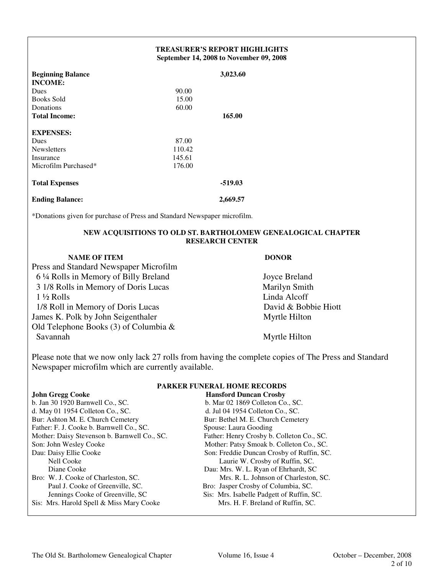# **TREASURER'S REPORT HIGHLIGHTS September 14, 2008 to November 09, 2008**

| <b>Beginning Balance</b> |        | 3,023.60  |  |
|--------------------------|--------|-----------|--|
| <b>INCOME:</b>           |        |           |  |
| Dues                     | 90.00  |           |  |
| <b>Books Sold</b>        | 15.00  |           |  |
| Donations                | 60.00  |           |  |
| <b>Total Income:</b>     |        | 165.00    |  |
| <b>EXPENSES:</b>         |        |           |  |
| Dues                     | 87.00  |           |  |
| <b>Newsletters</b>       | 110.42 |           |  |
| Insurance                | 145.61 |           |  |
| Microfilm Purchased*     | 176.00 |           |  |
| <b>Total Expenses</b>    |        | $-519.03$ |  |
| <b>Ending Balance:</b>   |        | 2,669.57  |  |

\*Donations given for purchase of Press and Standard Newspaper microfilm.

# **NEW ACQUISITIONS TO OLD ST. BARTHOLOMEW GENEALOGICAL CHAPTER RESEARCH CENTER**

# **NAME OF ITEM DONOR**

- Press and Standard Newspaper Microfilm 6 ¼ Rolls in Memory of Billy Breland Joyce Breland 3 1/8 Rolls in Memory of Doris Lucas Marilyn Smith 1 ½ Rolls Linda Alcoff 1/8 Roll in Memory of Doris Lucas David & Bobbie Hiott James K. Polk by John Seigenthaler Myrtle Hilton Old Telephone Books (3) of Columbia &
	-

Myrtle Hilton

Please note that we now only lack 27 rolls from having the complete copies of The Press and Standard Newspaper microfilm which are currently available.

|                                              | LANNISIN E VINDINAD HIVARD INDIVAZINADI   |  |
|----------------------------------------------|-------------------------------------------|--|
| <b>John Gregg Cooke</b>                      | <b>Hansford Duncan Crosby</b>             |  |
| b. Jan 30 1920 Barnwell Co., SC.             | b. Mar 02 1869 Colleton Co., SC.          |  |
| d. May 01 1954 Colleton Co., SC.             | d. Jul 04 1954 Colleton Co., SC.          |  |
| Bur: Ashton M. E. Church Cemetery            | Bur: Bethel M. E. Church Cemetery         |  |
| Father: F. J. Cooke b. Barnwell Co., SC.     | Spouse: Laura Gooding                     |  |
| Mother: Daisy Stevenson b. Barnwell Co., SC. | Father: Henry Crosby b. Colleton Co., SC. |  |
| Son: John Wesley Cooke                       | Mother: Patsy Smoak b. Colleton Co., SC.  |  |
| Dau: Daisy Ellie Cooke                       | Son: Freddie Duncan Crosby of Ruffin, SC. |  |
| Nell Cooke                                   | Laurie W. Crosby of Ruffin, SC.           |  |
| Diane Cooke                                  | Dau: Mrs. W. L. Ryan of Ehrhardt, SC      |  |
| Bro: W. J. Cooke of Charleston, SC.          | Mrs. R. L. Johnson of Charleston, SC.     |  |
| Paul J. Cooke of Greenville, SC.             | Bro: Jasper Crosby of Columbia, SC.       |  |
| Jennings Cooke of Greenville, SC             | Sis: Mrs. Isabelle Padgett of Ruffin, SC. |  |
| Sis: Mrs. Harold Spell & Miss Mary Cooke     | Mrs. H. F. Breland of Ruffin, SC.         |  |

# **PARKER FUNERAL HOME RECORDS**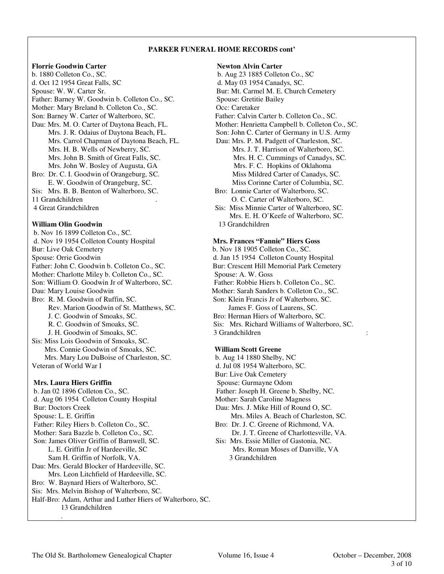### **PARKER FUNERAL HOME RECORDS cont'**

## **Florrie Goodwin Carter Newton Alvin Carter**

b. 1880 Colleton Co., SC. b. Aug 23 1885 Colleton Co., SC d. Oct 12 1954 Great Falls, SC d. May 03 1954 Canadys, SC. Spouse: W. W. Carter Sr. Bur: Mt. Carmel M. E. Church Cemetery Father: Barney W. Goodwin b. Colleton Co., SC. Spouse: Gretitie Bailey Mother: Mary Breland b. Colleton Co., SC. Occ: Caretaker Son: Barney W. Carter of Walterboro, SC. Father: Calvin Carter b. Colleton Co., SC. Dau: Mrs. M. O. Carter of Daytona Beach, FL. Mother: Henrietta Campbell b. Colleton Co., SC.<br>Mrs. J. R. Odaius of Daytona Beach, FL. Son: John C. Carter of Germany in U.S. Army Mrs. Carrol Chapman of Daytona Beach, FL. Mrs. John W. Bosley of Augusta, GA Mrs. F. C. Hopkins of Oklahoma Bro: Dr. C. I. Goodwin of Orangeburg, SC.<br>
E. W. Goodwin of Orangeburg, SC.<br>
Miss Corinne Carter of Columbia, SC. E. W. Goodwin of Orangeburg, SC. Sis: Mrs. B. B. Benton of Walterboro, SC. Bro: Lonnie Carter of Walterboro, SC. 11 Grandchildren . The contract of Walterboro, SC. Carter of Walterboro, SC. 4 Great Grandchildren Sis: Miss Minnie Carter of Walterboro, SC.

## **William Olin Goodwin** 13 Grandchildren

 b. Nov 16 1899 Colleton Co., SC. d. Nov 19 1954 Colleton County Hospital **Mrs. Frances "Fannie" Hiers Goss**  Bur: Live Oak Cemetery b. Nov 18 1905 Colleton Co., SC. Spouse: Orrie Goodwin d. Jan 15 1954 Colleton County Hospital Father: John C. Goodwin b. Colleton Co., SC. Bur: Crescent Hill Memorial Park Cemetery Mother: Charlotte Miley b. Colleton Co., SC.<br>
Spouse: A. W. Goss<br>
Son: William O. Goodwin Jr of Walterboro, SC.<br>
Father: Robbie Hiers b. Colleton Co., SC. Son: William O. Goodwin Jr of Walterboro, SC. Dau: Mary Louise Goodwin The Mother: Sarah Sanders b. Colleton Co., SC. Bro: R. M. Goodwin of Ruffin, SC.<br>
Rev. Marion Goodwin of St. Matthews, SC.<br>
James F. Goss of Laurens, SC.<br>
Son: James F. Goss of Laurens, SC. Rev. Marion Goodwin of St. Matthews, SC. J. C. Goodwin of Smoaks, SC. Bro: Herman Hiers of Walterboro, SC. J. H. Goodwin of Smoaks, SC. 3 Grandchildren : Sis: Miss Lois Goodwin of Smoaks, SC. Mrs. Connie Goodwin of Smoaks, SC. **William Scott Greene** Mrs. Mary Lou DuBoise of Charleston, SC. b. Aug 14 1880 Shelby, NC Veteran of World War I d. Jul 08 1954 Walterboro, SC.

.

 b. Jan 02 1896 Colleton Co., SC. Father: Joseph H. Greene b. Shelby, NC. d. Aug 06 1954 Colleton County Hospital Mother: Sarah Caroline Magness Bur: Doctors Creek Dau: Mrs. J. Mike Hill of Round O, SC. Spouse: L. E. Griffin **Mrs. Miles A. Beach of Charleston, SC.** Mrs. Miles A. Beach of Charleston, SC. Father: Riley Hiers b. Colleton Co., SC. Bro: Dr. J. C. Greene of Richmond, VA. Mother: Sara Bazzle b. Colleton Co., SC. Dr. J. T. Greene of Charlottesville, VA. Son: James Oliver Griffin of Barnwell, SC. Sis: Mrs. Essie Miller of Gastonia, NC. L. E. Griffin Jr of Hardeeville, SC Mrs. Roman Moses of Danville, VA Sam H. Griffin of Norfolk, VA. 3 Grandchildren Dau: Mrs. Gerald Blocker of Hardeeville, SC. Mrs. Leon Litchfield of Hardeeville, SC. Bro: W. Baynard Hiers of Walterboro, SC. Sis: Mrs. Melvin Bishop of Walterboro, SC. Half-Bro: Adam, Arthur and Luther Hiers of Walterboro, SC. 13 Grandchildren

Son: John C. Carter of Germany in U.S. Army<br>Dau: Mrs. P. M. Padgett of Charleston, SC. Mrs. H. B. Wells of Newberry, SC. Mrs. J. T. Harrison of Walterboro, SC. Mrs. John B. Smith of Great Falls, SC. Mrs. H. C. Cummings of Canadys, SC. Mrs. E. H. O'Keefe of Walterboro, SC.

R. C. Goodwin of Smoaks, SC. Sis: Mrs. Richard Williams of Walterboro, SC.

 Bur: Live Oak Cemetery **Mrs. Laura Hiers Griffin Spouse: Gurmayne Odom**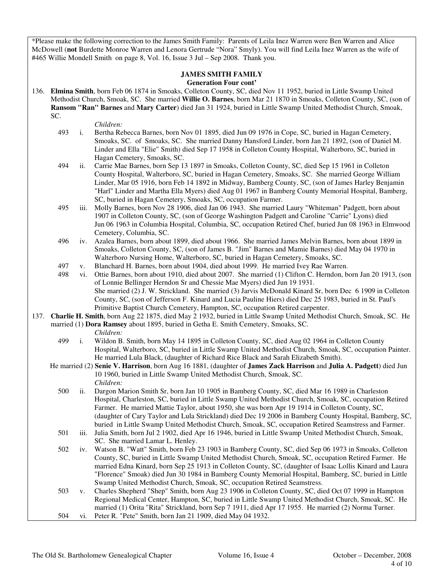\*Please make the following correction to the James Smith Family: Parents of Leila Inez Warren were Ben Warren and Alice McDowell (**not** Burdette Monroe Warren and Lenora Gertrude "Nora" Smyly). You will find Leila Inez Warren as the wife of #465 Willie Mondell Smith on page 8, Vol. 16, Issue 3 Jul – Sep 2008. Thank you.

# **JAMES SMITH FAMILY**

# **Generation Four cont'**

136. **Elmina Smith**, born Feb 06 1874 in Smoaks, Colleton County, SC, died Nov 11 1952, buried in Little Swamp United Methodist Church, Smoak, SC. She married **Willie O. Barnes**, born Mar 21 1870 in Smoaks, Colleton County, SC, (son of **Ransom "Ran" Barnes** and **Mary Carter**) died Jan 31 1924, buried in Little Swamp United Methodist Church, Smoak, SC.

- *Children:*<br>493 *i.* Bertha Re i. Bertha Rebecca Barnes, born Nov 01 1895, died Jun 09 1976 in Cope, SC, buried in Hagan Cemetery, Smoaks, SC. of Smoaks, SC. She married Danny Hansford Linder, born Jan 21 1892, (son of Daniel M. Linder and Ella "Elie" Smith) died Sep 17 1958 in Colleton County Hospital, Walterboro, SC, buried in Hagan Cemetery, Smoaks, SC.
- 494 ii. Carrie Mae Barnes, born Sep 13 1897 in Smoaks, Colleton County, SC, died Sep 15 1961 in Colleton County Hospital, Walterboro, SC, buried in Hagan Cemetery, Smoaks, SC. She married George William Linder, Mar 05 1916, born Feb 14 1892 in Midway, Bamberg County, SC, (son of James Harley Benjamin "Harl" Linder and Martha Ella Myers) died Aug 01 1967 in Bamberg County Memorial Hospital, Bamberg, SC, buried in Hagan Cemetery, Smoaks, SC, occupation Farmer.
- 495 iii. Molly Barnes, born Nov 28 1906, died Jan 06 1943. She married Laury "Whiteman" Padgett, born about 1907 in Colleton County, SC, (son of George Washington Padgett and Caroline "Carrie" Lyons) died Jun 06 1963 in Columbia Hospital, Columbia, SC, occupation Retired Chef, buried Jun 08 1963 in Elmwood Cemetery, Columbia, SC.
- 496 iv. Azalea Barnes, born about 1899, died about 1966. She married James Melvin Barnes, born about 1899 in Smoaks, Colleton County, SC, (son of James B. "Jim" Barnes and Mamie Barnes) died May 04 1970 in Walterboro Nursing Home, Walterboro, SC, buried in Hagan Cemetery, Smoaks, SC.
- 497 v. Blanchard H. Barnes, born about 1904, died about 1999. He married Ivey Rae Warren.
- 498 vi. Ottie Barnes, born about 1910, died about 2007. She married (1) Clifton C. Herndon, born Jan 20 1913, (son of Lonnie Bellinger Herndon Sr and Chessie Mae Myers) died Jun 19 1931. She married (2) J. W. Strickland. She married (3) Jarvis McDonald Kinard Sr, born Dec 6 1909 in Colleton County, SC, (son of Jefferson F. Kinard and Lucia Pauline Hiers) died Dec 25 1983, buried in St. Paul's Primitive Baptist Church Cemetery, Hampton, SC, occupation Retired carpenter.
- 137. **Charlie H. Smith**, born Aug 22 1875, died May 2 1932, buried in Little Swamp United Methodist Church, Smoak, SC. He married (1) **Dora Ramsey** about 1895, buried in Getha E. Smith Cemetery, Smoaks, SC.

- 499 i. Wildon B. Smith, born May 14 1895 in Colleton County, SC, died Aug 02 1964 in Colleton County Hospital, Walterboro, SC, buried in Little Swamp United Methodist Church, Smoak, SC, occupation Painter. He married Lula Black, (daughter of Richard Rice Black and Sarah Elizabeth Smith).
- He married (2) **Senie V. Harrison**, born Aug 16 1881, (daughter of **James Zack Harrison** and **Julia A. Padgett**) died Jun 10 1960, buried in Little Swamp United Methodist Church, Smoak, SC. *Children:*
	- 500 ii. Dargon Marion Smith Sr, born Jan 10 1905 in Bamberg County, SC, died Mar 16 1989 in Charleston Hospital, Charleston, SC, buried in Little Swamp United Methodist Church, Smoak, SC, occupation Retired Farmer. He married Mattie Taylor, about 1950, she was born Apr 19 1914 in Colleton County, SC, (daughter of Cary Taylor and Lula Strickland) died Dec 19 2006 in Bamberg County Hospital, Bamberg, SC, buried in Little Swamp United Methodist Church, Smoak, SC, occupation Retired Seamstress and Farmer.
	- 501 iii. Julia Smith, born Jul 2 1902, died Apr 16 1946, buried in Little Swamp United Methodist Church, Smoak, SC. She married Lamar L. Henley.
	- 502 iv. Watson B. "Watt" Smith, born Feb 23 1903 in Bamberg County, SC, died Sep 06 1973 in Smoaks, Colleton County, SC, buried in Little Swamp United Methodist Church, Smoak, SC, occupation Retired Farmer. He married Edna Kinard, born Sep 25 1913 in Colleton County, SC, (daughter of Isaac Lollis Kinard and Laura "Florence" Smoak) died Jun 30 1984 in Bamberg County Memorial Hospital, Bamberg, SC, buried in Little Swamp United Methodist Church, Smoak, SC, occupation Retired Seamstress.
	- 503 v. Charles Shepherd "Shep" Smith, born Aug 23 1906 in Colleton County, SC, died Oct 07 1999 in Hampton Regional Medical Center, Hampton, SC, buried in Little Swamp United Methodist Church, Smoak, SC. He married (1) Orita "Rita" Strickland, born Sep 7 1911, died Apr 17 1955. He married (2) Norma Turner.
	- 504 vi. Peter R. "Pete" Smith, born Jan 21 1909, died May 04 1932.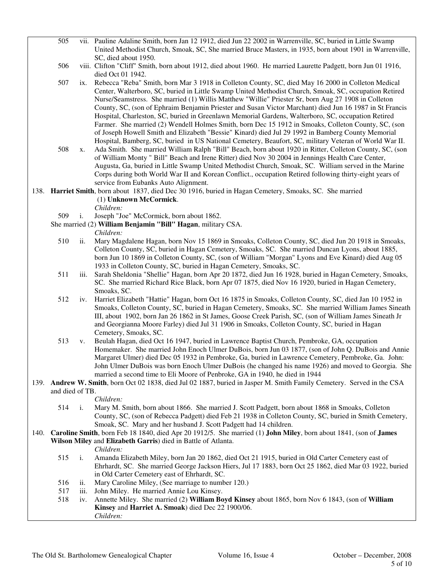| 505             |                | vii. Pauline Adaline Smith, born Jan 12 1912, died Jun 22 2002 in Warrenville, SC, buried in Little Swamp<br>United Methodist Church, Smoak, SC, She married Bruce Masters, in 1935, born about 1901 in Warrenville,                                                                                                                                                                                                                                                                                                                                                                                                                           |
|-----------------|----------------|------------------------------------------------------------------------------------------------------------------------------------------------------------------------------------------------------------------------------------------------------------------------------------------------------------------------------------------------------------------------------------------------------------------------------------------------------------------------------------------------------------------------------------------------------------------------------------------------------------------------------------------------|
| 506             |                | SC, died about 1950.<br>viii. Clifton "Cliff" Smith, born about 1912, died about 1960. He married Laurette Padgett, born Jun 01 1916,<br>died Oct 01 1942.                                                                                                                                                                                                                                                                                                                                                                                                                                                                                     |
| 507             | ix.            | Rebecca "Reba" Smith, born Mar 3 1918 in Colleton County, SC, died May 16 2000 in Colleton Medical<br>Center, Walterboro, SC, buried in Little Swamp United Methodist Church, Smoak, SC, occupation Retired<br>Nurse/Seamstress. She married (1) Willis Matthew "Willie" Priester Sr, born Aug 27 1908 in Colleton                                                                                                                                                                                                                                                                                                                             |
| 508             | X.             | County, SC, (son of Ephraim Benjamin Priester and Susan Victor Marchant) died Jun 16 1987 in St Francis<br>Hospital, Charleston, SC, buried in Greenlawn Memorial Gardens, Walterboro, SC, occupation Retired<br>Farmer. She married (2) Wendell Holmes Smith, born Dec 15 1912 in Smoaks, Colleton County, SC, (son<br>of Joseph Howell Smith and Elizabeth "Bessie" Kinard) died Jul 29 1992 in Bamberg County Memorial<br>Hospital, Bamberg, SC, buried in US National Cemetery, Beaufort, SC, military Veteran of World War II.<br>Ada Smith. She married William Ralph "Bill" Beach, born about 1920 in Ritter, Colleton County, SC, (son |
|                 |                | of William Monty " Bill" Beach and Irene Ritter) died Nov 30 2004 in Jennings Health Care Center,<br>Augusta, Ga, buried in Little Swamp United Methodist Church, Smoak, SC. William served in the Marine<br>Corps during both World War II and Korean Conflict., occupation Retired following thirty-eight years of<br>service from Eubanks Auto Alignment.                                                                                                                                                                                                                                                                                   |
|                 |                | 138. Harriet Smith, born about 1837, died Dec 30 1916, buried in Hagan Cemetery, Smoaks, SC. She married<br>(1) Unknown McCormick.<br>Children:                                                                                                                                                                                                                                                                                                                                                                                                                                                                                                |
| 509             | $\mathbf{i}$ . | Joseph "Joe" McCormick, born about 1862.                                                                                                                                                                                                                                                                                                                                                                                                                                                                                                                                                                                                       |
|                 |                | She married (2) William Benjamin "Bill" Hagan, military CSA.                                                                                                                                                                                                                                                                                                                                                                                                                                                                                                                                                                                   |
|                 |                | Children:                                                                                                                                                                                                                                                                                                                                                                                                                                                                                                                                                                                                                                      |
| 510             | ii.            | Mary Magdalene Hagan, born Nov 15 1869 in Smoaks, Colleton County, SC, died Jun 20 1918 in Smoaks,<br>Colleton County, SC, buried in Hagan Cemetery, Smoaks, SC. She married Duncan Lyons, about 1885,                                                                                                                                                                                                                                                                                                                                                                                                                                         |
| 511             | iii.           | born Jun 10 1869 in Colleton County, SC, (son of William "Morgan" Lyons and Eve Kinard) died Aug 05<br>1933 in Colleton County, SC, buried in Hagan Cemetery, Smoaks, SC.<br>Sarah Sheldonia "Shellie" Hagan, born Apr 20 1872, died Jun 16 1928, buried in Hagan Cemetery, Smoaks,                                                                                                                                                                                                                                                                                                                                                            |
|                 |                | SC. She married Richard Rice Black, born Apr 07 1875, died Nov 16 1920, buried in Hagan Cemetery,<br>Smoaks, SC.                                                                                                                                                                                                                                                                                                                                                                                                                                                                                                                               |
| 512             | iv.            | Harriet Elizabeth "Hattie" Hagan, born Oct 16 1875 in Smoaks, Colleton County, SC, died Jan 10 1952 in<br>Smoaks, Colleton County, SC, buried in Hagan Cemetery, Smoaks, SC. She married William James Sineath<br>III, about 1902, born Jan 26 1862 in St James, Goose Creek Parish, SC, (son of William James Sineath Jr<br>and Georgianna Moore Farley) died Jul 31 1906 in Smoaks, Colleton County, SC, buried in Hagan<br>Cemetery, Smoaks, SC.                                                                                                                                                                                            |
| 513             | V.             | Beulah Hagan, died Oct 16 1947, buried in Lawrence Baptist Church, Pembroke, GA, occupation<br>Homemaker. She married John Enoch Ulmer DuBois, born Jun 03 1877, (son of John Q. DuBois and Annie<br>Margaret Ulmer) died Dec 05 1932 in Pembroke, Ga, buried in Lawrence Cemetery, Pembroke, Ga. John:<br>John Ulmer DuBois was born Enoch Ulmer DuBois (he changed his name 1926) and moved to Georgia. She                                                                                                                                                                                                                                  |
|                 |                | married a second time to Eli Moore of Penbroke, GA in 1940, he died in 1944                                                                                                                                                                                                                                                                                                                                                                                                                                                                                                                                                                    |
|                 |                | 139. Andrew W. Smith, born Oct 02 1838, died Jul 02 1887, buried in Jasper M. Smith Family Cemetery. Served in the CSA                                                                                                                                                                                                                                                                                                                                                                                                                                                                                                                         |
| and died of TB. |                |                                                                                                                                                                                                                                                                                                                                                                                                                                                                                                                                                                                                                                                |
|                 |                | Children:                                                                                                                                                                                                                                                                                                                                                                                                                                                                                                                                                                                                                                      |
| 514             | i.             | Mary M. Smith, born about 1866. She married J. Scott Padgett, born about 1868 in Smoaks, Colleton<br>County, SC, (son of Rebecca Padgett) died Feb 21 1938 in Colleton County, SC, buried in Smith Cemetery,                                                                                                                                                                                                                                                                                                                                                                                                                                   |
|                 |                | Smoak, SC. Mary and her husband J. Scott Padgett had 14 children.                                                                                                                                                                                                                                                                                                                                                                                                                                                                                                                                                                              |
|                 |                | 140. Caroline Smith, born Feb 18 1840, died Apr 20 1912/5. She married (1) John Miley, born about 1841, (son of James                                                                                                                                                                                                                                                                                                                                                                                                                                                                                                                          |
|                 |                | Wilson Miley and Elizabeth Garris) died in Battle of Atlanta.                                                                                                                                                                                                                                                                                                                                                                                                                                                                                                                                                                                  |
|                 |                | Children:                                                                                                                                                                                                                                                                                                                                                                                                                                                                                                                                                                                                                                      |
| 515             | i.             | Amanda Elizabeth Miley, born Jan 20 1862, died Oct 21 1915, buried in Old Carter Cemetery east of<br>Ehrhardt, SC. She married George Jackson Hiers, Jul 17 1883, born Oct 25 1862, died Mar 03 1922, buried<br>in Old Carter Cemetery east of Ehrhardt, SC.                                                                                                                                                                                                                                                                                                                                                                                   |
| 516             | ii.            | Mary Caroline Miley, (See marriage to number 120.)                                                                                                                                                                                                                                                                                                                                                                                                                                                                                                                                                                                             |
| 517             | iii.           | John Miley. He married Annie Lou Kinsey.                                                                                                                                                                                                                                                                                                                                                                                                                                                                                                                                                                                                       |
| 518             |                | Annette Miley. She married (2) William Boyd Kinsey about 1865, born Nov 6 1843, (son of William                                                                                                                                                                                                                                                                                                                                                                                                                                                                                                                                                |
|                 | iv.            |                                                                                                                                                                                                                                                                                                                                                                                                                                                                                                                                                                                                                                                |
|                 |                | Kinsey and Harriet A. Smoak) died Dec 22 1900/06.<br>Children:                                                                                                                                                                                                                                                                                                                                                                                                                                                                                                                                                                                 |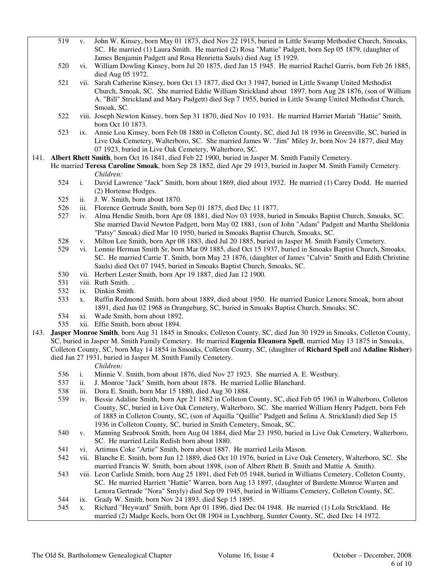- 519 v. John W. Kinsey, born May 01 1873, died Nov 22 1915, buried in Little Swamp Methodist Church, Smoaks, SC. He married (1) Laura Smith. He married (2) Rosa "Mattie" Padgett, born Sep 05 1879, (daughter of James Benjamin Padgett and Rosa Henrietta Sauls) died Aug 15 1929.
- 520 vi. William Dowling Kinsey, born Jul 20 1875, died Jan 15 1945. He married Rachel Garris, born Feb 26 1885, died Aug 05 1972.
- 521 vii. Sarah Catherine Kinsey, born Oct 13 1877, died Oct 3 1947, buried in Little Swamp United Methodist Church, Smoak, SC. She married Eddie William Strickland about 1897, born Aug 28 1876, (son of William A. "Bill" Strickland and Mary Padgett) died Sep 7 1955, buried in Little Swamp United Methodist Church, Smoak, SC.
- 522 viii. Joseph Newton Kinsey, born Sep 31 1870, died Nov 10 1931. He married Harriet Mariah "Hattie" Smith, born Oct 10 1873.
- 523 ix. Annie Lou Kinsey, born Feb 08 1880 in Colleton County, SC, died Jul 18 1936 in Greenville, SC, buried in Live Oak Cemetery, Walterboro, SC. She married James W. "Jim" Miley Jr, born Nov 24 1877, died May 07 1923, buried in Live Oak Cemetery, Walterboro, SC.
- 141. **Albert Rhett Smith**, born Oct 16 1841, died Feb 22 1900, buried in Jasper M. Smith Family Cemetery.
	- He married **Teresa Caroline Smoak**, born Sep 28 1852, died Apr 29 1913, buried in Jasper M. Smith Family Cemetery. *Children:*
		- 524 i. David Lawrence "Jack" Smith, born about 1869, died about 1932. He married (1) Carey Dodd. He married (2) Hortense Hodges.
		- 525 ii. J. W. Smith, born about 1870.
		- 526 iii. Florence Gertrude Smith, born Sep 01 1875, died Dec 11 1877.
		- 527 iv. Alma Hendie Smith, born Apr 08 1881, died Nov 03 1938, buried in Smoaks Baptist Church, Smoaks, SC. She married David Newton Padgett, born May 02 1881, (son of John "Adam" Padgett and Martha Sheldonia "Patsy" Smoak) died Mar 10 1950, buried in Smoaks Baptist Church, Smoaks, SC.
		- 528 v. Milton Lee Smith, born Apr 08 1883, died Jul 20 1885, buried in Jasper M. Smith Family Cemetery.
		- 529 vi. Lonnie Herman Smith Sr, born Mar 09 1885, died Oct 15 1937, buried in Smoaks Baptist Church, Smoaks, SC. He married Carrie T. Smith, born May 23 1876, (daughter of James "Calvin" Smith and Edith Christine Sauls) died Oct 07 1945, buried in Smoaks Baptist Church, Smoaks, SC.
		- 530 vii. Herbert Lester Smith, born Apr 19 1887, died Jan 12 1900.
		- 531 viii. Ruth Smith. .
		- 532 ix. Dinkin Smith.
		- 533 x. Ruffin Redmond Smith, born about 1889, died about 1950. He married Eunice Lenora Smoak, born about 1891, died Jun 02 1968 in Orangeburg, SC, buried in Smoaks Baptist Church, Smoaks, SC.
		- 534 xi. Wade Smith, born about 1892.
		- 535 xii. Effie Smith, born about 1894.
- 143. **Jasper Monroe Smith**, born Aug 31 1845 in Smoaks, Colleton County, SC, died Jun 30 1929 in Smoaks, Colleton County, SC, buried in Jasper M. Smith Family Cemetery. He married **Eugenia Eleanora Spell**, married May 13 1875 in Smoaks, Colleton County, SC, born May 14 1854 in Smoaks, Colleton County, SC, (daughter of **Richard Spell** and **Adaline Risher**) died Jan 27 1931, buried in Jasper M. Smith Family Cemetery.

- 536 i. Minnie V. Smith, born about 1876, died Nov 27 1923. She married A. E. Westbury.
- 537 ii. J. Monroe "Jack" Smith, born about 1878. He married Lollie Blanchard.
- 538 iii. Dora E. Smith, born Mar 15 1880, died Aug 30 1884.
- 539 iv. Bessie Adaline Smith, born Apr 21 1882 in Colleton County, SC, died Feb 05 1963 in Walterboro, Colleton County, SC, buried in Live Oak Cemetery, Walterboro, SC. She married William Henry Padgett, born Feb of 1885 in Colleton County, SC, (son of Aquilla "Quillie" Padgett and Selina A. Strickland) died Sep 15 1936 in Colleton County, SC, buried in Smith Cemetery, Smoak, SC.
- 540 v. Manning Seabrook Smith, born Aug 04 1884, died Mar 23 1950, buried in Live Oak Cemetery, Walterboro, SC. He married Leila Redish born about 1880.
- 541 vi. Artimus Coke "Artie" Smith, born about 1887. He married Leila Mason.
- 542 vii. Blanche E. Smith, born Jun 12 1889, died Oct 10 1976, buried in Live Oak Cemetery, Walterboro, SC. She married Francis W. Smith, born about 1898, (son of Albert Rhett B. Smith and Mattie A. Smith).
- 543 viii. Leon Carlisle Smith, born Aug 25 1891, died Feb 05 1948, buried in Williams Cemetery, Colleton County, SC. He married Harriett "Hattie" Warren, born Aug 13 1897, (daughter of Burdette Monroe Warren and Lenora Gertrude "Nora" Smyly) died Sep 09 1945, buried in Williams Cemetery, Colleton County, SC.
- 544 ix. Grady W. Smith, born Nov 24 1893, died Sep 15 1895.
- 545 x. Richard "Heyward" Smith, born Apr 01 1896, died Dec 04 1948. He married (1) Lola Strickland. He married (2) Madge Keels, born Oct 08 1904 in Lynchburg, Sumter County, SC, died Dec 14 1972.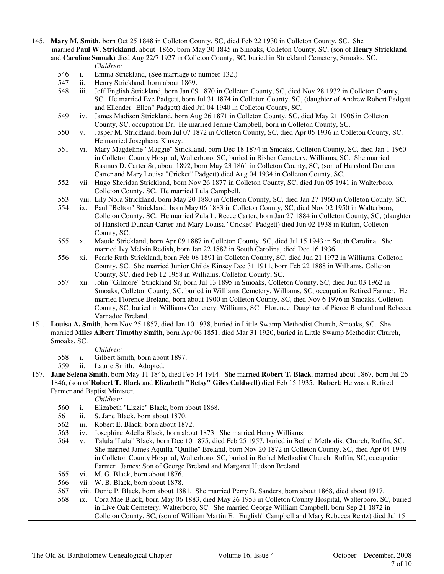145. **Mary M. Smith**, born Oct 25 1848 in Colleton County, SC, died Feb 22 1930 in Colleton County, SC. She married **Paul W. Strickland**, about 1865, born May 30 1845 in Smoaks, Colleton County, SC, (son of **Henry Strickland** and **Caroline Smoak**) died Aug 22/7 1927 in Colleton County, SC, buried in Strickland Cemetery, Smoaks, SC. *Children:*

- 546 i. Emma Strickland, (See marriage to number 132.)
- 547 ii. Henry Strickland, born about 1869.
- 548 iii. Jeff English Strickland, born Jan 09 1870 in Colleton County, SC, died Nov 28 1932 in Colleton County, SC. He married Eve Padgett, born Jul 31 1874 in Colleton County, SC, (daughter of Andrew Robert Padgett and Ellender "Ellen" Padgett) died Jul 04 1940 in Colleton County, SC.
- 549 iv. James Madison Strickland, born Aug 26 1871 in Colleton County, SC, died May 21 1906 in Colleton County, SC, occupation Dr. He married Jennie Campbell, born in Colleton County, SC.
- 550 v. Jasper M. Strickland, born Jul 07 1872 in Colleton County, SC, died Apr 05 1936 in Colleton County, SC. He married Josephena Kinsey.
- 551 vi. Mary Magdeline "Maggie" Strickland, born Dec 18 1874 in Smoaks, Colleton County, SC, died Jan 1 1960 in Colleton County Hospital, Walterboro, SC, buried in Risher Cemetery, Williams, SC. She married Rasmus D. Carter Sr, about 1892, born May 23 1861 in Colleton County, SC, (son of Hansford Duncan Carter and Mary Louisa "Cricket" Padgett) died Aug 04 1934 in Colleton County, SC.
- 552 vii. Hugo Sheridan Strickland, born Nov 26 1877 in Colleton County, SC, died Jun 05 1941 in Walterboro, Colleton County, SC. He married Lula Campbell.
- 553 viii. Lily Nora Strickland, born May 20 1880 in Colleton County, SC, died Jan 27 1960 in Colleton County, SC.
- 554 ix. Paul "Belton" Strickland, born May 06 1883 in Colleton County, SC, died Nov 02 1950 in Walterboro, Colleton County, SC. He married Zula L. Reece Carter, born Jan 27 1884 in Colleton County, SC, (daughter of Hansford Duncan Carter and Mary Louisa "Cricket" Padgett) died Jun 02 1938 in Ruffin, Colleton County, SC.
- 555 x. Maude Strickland, born Apr 09 1887 in Colleton County, SC, died Jul 15 1943 in South Carolina. She married Ivy Melvin Redish, born Jan 22 1882 in South Carolina, died Dec 16 1936.
- 556 xi. Pearle Ruth Strickland, born Feb 08 1891 in Colleton County, SC, died Jun 21 1972 in Williams, Colleton County, SC. She married Junior Childs Kinsey Dec 31 1911, born Feb 22 1888 in Williams, Colleton County, SC, died Feb 12 1958 in Williams, Colleton County, SC.
- 557 xii. John "Gilmore" Strickland Sr, born Jul 13 1895 in Smoaks, Colleton County, SC, died Jun 03 1962 in Smoaks, Colleton County, SC, buried in Williams Cemetery, Williams, SC, occupation Retired Farmer. He married Florence Breland, born about 1900 in Colleton County, SC, died Nov 6 1976 in Smoaks, Colleton County, SC, buried in Williams Cemetery, Williams, SC. Florence: Daughter of Pierce Breland and Rebecca Varnadoe Breland.
- 151. **Louisa A. Smith**, born Nov 25 1857, died Jan 10 1938, buried in Little Swamp Methodist Church, Smoaks, SC. She married **Miles Albert Timothy Smith**, born Apr 06 1851, died Mar 31 1920, buried in Little Swamp Methodist Church, Smoaks, SC.

*Children:*

- 558 i. Gilbert Smith, born about 1897.
- 559 ii. Laurie Smith. Adopted.
- 157. **Jane Selena Smith**, born May 11 1846, died Feb 14 1914. She married **Robert T. Black**, married about 1867, born Jul 26 1846, (son of **Robert T. Black** and **Elizabeth "Betsy" Giles Caldwell**) died Feb 15 1935. **Robert**: He was a Retired Farmer and Baptist Minister.

- 560 i. Elizabeth "Lizzie" Black, born about 1868.
- 561 ii. S. Jane Black, born about 1870.
- 562 iii. Robert E. Black, born about 1872.
- 563 iv. Josephine Adella Black, born about 1873. She married Henry Williams.
- 564 v. Talula "Lula" Black, born Dec 10 1875, died Feb 25 1957, buried in Bethel Methodist Church, Ruffin, SC. She married James Aquilla "Quillie" Breland, born Nov 20 1872 in Colleton County, SC, died Apr 04 1949 in Colleton County Hospital, Walterboro, SC, buried in Bethel Methodist Church, Ruffin, SC, occupation Farmer. James: Son of George Breland and Margaret Hudson Breland.
- 565 vi. M. G. Black, born about 1876.
- 566 vii. W. B. Black, born about 1878.
- 567 viii. Donie P. Black, born about 1881. She married Perry B. Sanders, born about 1868, died about 1917.
- 568 ix. Cora Mae Black, born May 06 1883, died May 26 1953 in Colleton County Hospital, Walterboro, SC, buried in Live Oak Cemetery, Walterboro, SC. She married George William Campbell, born Sep 21 1872 in Colleton County, SC, (son of William Martin E. "English" Campbell and Mary Rebecca Rentz) died Jul 15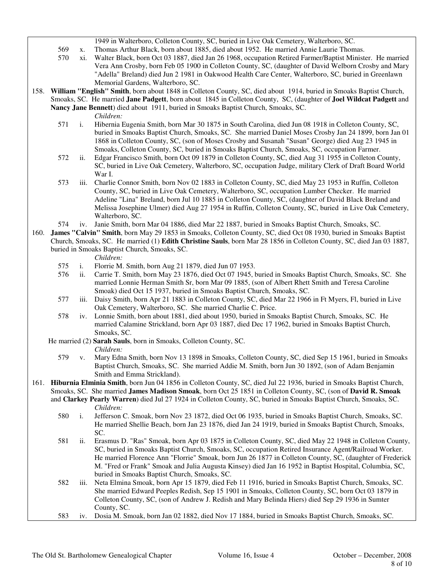- 1949 in Walterboro, Colleton County, SC, buried in Live Oak Cemetery, Walterboro, SC.
- 569 x. Thomas Arthur Black, born about 1885, died about 1952. He married Annie Laurie Thomas.
- 570 xi. Walter Black, born Oct 03 1887, died Jan 26 1968, occupation Retired Farmer/Baptist Minister. He married Vera Ann Crosby, born Feb 05 1900 in Colleton County, SC, (daughter of David Welborn Crosby and Mary "Adella" Breland) died Jun 2 1981 in Oakwood Health Care Center, Walterboro, SC, buried in Greenlawn Memorial Gardens, Walterboro, SC.
- 158. **William "English" Smith**, born about 1848 in Colleton County, SC, died about 1914, buried in Smoaks Baptist Church,
- Smoaks, SC. He married **Jane Padgett**, born about 1845 in Colleton County, SC, (daughter of **Joel Wildcat Padgett** and **Nancy Jane Bennett**) died about 1911, buried in Smoaks Baptist Church, Smoaks, SC.
	- *Children:*
	- 571 i. Hibernia Eugenia Smith, born Mar 30 1875 in South Carolina, died Jun 08 1918 in Colleton County, SC, buried in Smoaks Baptist Church, Smoaks, SC. She married Daniel Moses Crosby Jan 24 1899, born Jan 01 1868 in Colleton County, SC, (son of Moses Crosby and Susanah "Susan" George) died Aug 23 1945 in Smoaks, Colleton County, SC, buried in Smoaks Baptist Church, Smoaks, SC, occupation Farmer.
	- 572 ii. Edgar Francisco Smith, born Oct 09 1879 in Colleton County, SC, died Aug 31 1955 in Colleton County, SC, buried in Live Oak Cemetery, Walterboro, SC, occupation Judge, military Clerk of Draft Board World War I.
	- 573 iii. Charlie Connor Smith, born Nov 02 1883 in Colleton County, SC, died May 23 1953 in Ruffin, Colleton County, SC, buried in Live Oak Cemetery, Walterboro, SC, occupation Lumber Checker. He married Adeline "Lina" Breland, born Jul 10 1885 in Colleton County, SC, (daughter of David Black Breland and Melissa Josephine Ulmer) died Aug 27 1954 in Ruffin, Colleton County, SC, buried in Live Oak Cemetery, Walterboro, SC.
	- 574 iv. Janie Smith, born Mar 04 1886, died Mar 22 1887, buried in Smoaks Baptist Church, Smoaks, SC.
- 160. **James "Calvin" Smith**, born May 29 1853 in Smoaks, Colleton County, SC, died Oct 08 1930, buried in Smoaks Baptist Church, Smoaks, SC. He married (1) **Edith Christine Sauls**, born Mar 28 1856 in Colleton County, SC, died Jan 03 1887,

# buried in Smoaks Baptist Church, Smoaks, SC.

- 575 i. Florrie M. Smith, born Aug 21 1879, died Jun 07 1953.
- 576 ii. Carrie T. Smith, born May 23 1876, died Oct 07 1945, buried in Smoaks Baptist Church, Smoaks, SC. She married Lonnie Herman Smith Sr, born Mar 09 1885, (son of Albert Rhett Smith and Teresa Caroline Smoak) died Oct 15 1937, buried in Smoaks Baptist Church, Smoaks, SC.
- 577 iii. Daisy Smith, born Apr 21 1883 in Colleton County, SC, died Mar 22 1966 in Ft Myers, Fl, buried in Live Oak Cemetery, Walterboro, SC. She married Charlie C. Price.
- 578 iv. Lonnie Smith, born about 1881, died about 1950, buried in Smoaks Baptist Church, Smoaks, SC. He married Calamine Strickland, born Apr 03 1887, died Dec 17 1962, buried in Smoaks Baptist Church, Smoaks, SC.
- He married (2) **Sarah Sauls**, born in Smoaks, Colleton County, SC. *Children:*
	- 579 v. Mary Edna Smith, born Nov 13 1898 in Smoaks, Colleton County, SC, died Sep 15 1961, buried in Smoaks Baptist Church, Smoaks, SC. She married Addie M. Smith, born Jun 30 1892, (son of Adam Benjamin Smith and Emma Strickland).
- 161. **Hiburnia Elminia Smith**, born Jun 04 1856 in Colleton County, SC, died Jul 22 1936, buried in Smoaks Baptist Church, Smoaks, SC. She married **James Madison Smoak**, born Oct 25 1851 in Colleton County, SC, (son of **David R. Smoak** and **Clarkey Pearly Warren**) died Jul 27 1924 in Colleton County, SC, buried in Smoaks Baptist Church, Smoaks, SC. *Children:*
	- 580 i. Jefferson C. Smoak, born Nov 23 1872, died Oct 06 1935, buried in Smoaks Baptist Church, Smoaks, SC. He married Shellie Beach, born Jan 23 1876, died Jan 24 1919, buried in Smoaks Baptist Church, Smoaks, SC.
	- 581 ii. Erasmus D. "Ras" Smoak, born Apr 03 1875 in Colleton County, SC, died May 22 1948 in Colleton County, SC, buried in Smoaks Baptist Church, Smoaks, SC, occupation Retired Insurance Agent/Railroad Worker. He married Florence Ann "Florrie" Smoak, born Jun 26 1877 in Colleton County, SC, (daughter of Frederick M. "Fred or Frank" Smoak and Julia Augusta Kinsey) died Jan 16 1952 in Baptist Hospital, Columbia, SC, buried in Smoaks Baptist Church, Smoaks, SC.
	- 582 iii. Neta Elmina Smoak, born Apr 15 1879, died Feb 11 1916, buried in Smoaks Baptist Church, Smoaks, SC. She married Edward Peeples Redish, Sep 15 1901 in Smoaks, Colleton County, SC, born Oct 03 1879 in Colleton County, SC, (son of Andrew J. Redish and Mary Belinda Hiers) died Sep 29 1936 in Sumter County, SC.
	- 583 iv. Dosia M. Smoak, born Jan 02 1882, died Nov 17 1884, buried in Smoaks Baptist Church, Smoaks, SC.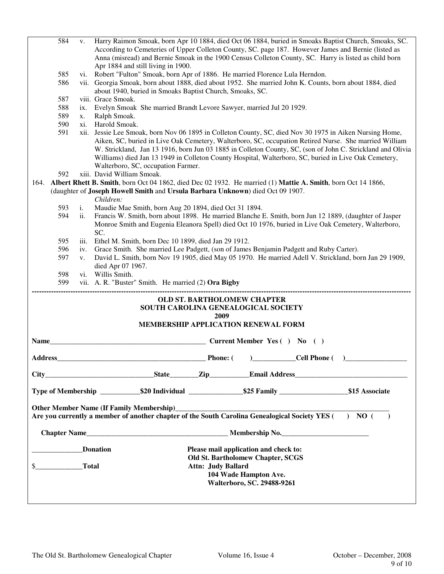|                             | 584          | V.                                       | Harry Raimon Smoak, born Apr 10 1884, died Oct 06 1884, buried in Smoaks Baptist Church, Smoaks, SC.<br>According to Cemeteries of Upper Colleton County, SC. page 187. However James and Bernie (listed as                                                                                                                                                       |
|-----------------------------|--------------|------------------------------------------|-------------------------------------------------------------------------------------------------------------------------------------------------------------------------------------------------------------------------------------------------------------------------------------------------------------------------------------------------------------------|
|                             |              |                                          | Anna (misread) and Bernie Smoak in the 1900 Census Colleton County, SC. Harry is listed as child born                                                                                                                                                                                                                                                             |
|                             |              |                                          | Apr 1884 and still living in 1900.                                                                                                                                                                                                                                                                                                                                |
|                             | 585          |                                          | vi. Robert "Fulton" Smoak, born Apr of 1886. He married Florence Lula Herndon.                                                                                                                                                                                                                                                                                    |
|                             | 586          |                                          | vii. Georgia Smoak, born about 1888, died about 1952. She married John K. Counts, born about 1884, died<br>about 1940, buried in Smoaks Baptist Church, Smoaks, SC.                                                                                                                                                                                               |
|                             | 587          |                                          | viii. Grace Smoak.                                                                                                                                                                                                                                                                                                                                                |
|                             | 588          | $\overline{1}X$ .                        | Evelyn Smoak She married Brandt Levore Sawyer, married Jul 20 1929.                                                                                                                                                                                                                                                                                               |
|                             | 589          | X.                                       | Ralph Smoak.                                                                                                                                                                                                                                                                                                                                                      |
|                             | 590          | xi.                                      | Harold Smoak.                                                                                                                                                                                                                                                                                                                                                     |
|                             | 591          |                                          | xii. Jessie Lee Smoak, born Nov 06 1895 in Colleton County, SC, died Nov 30 1975 in Aiken Nursing Home,                                                                                                                                                                                                                                                           |
|                             |              |                                          | Aiken, SC, buried in Live Oak Cemetery, Walterboro, SC, occupation Retired Nurse. She married William<br>W. Strickland, Jan 13 1916, born Jun 03 1885 in Colleton County, SC, (son of John C. Strickland and Olivia<br>Williams) died Jan 13 1949 in Colleton County Hospital, Walterboro, SC, buried in Live Oak Cemetery,<br>Walterboro, SC, occupation Farmer. |
|                             | 592          |                                          | xiii. David William Smoak.                                                                                                                                                                                                                                                                                                                                        |
| 164.                        |              |                                          | Albert Rhett B. Smith, born Oct 04 1862, died Dec 02 1932. He married (1) Mattie A. Smith, born Oct 14 1866,                                                                                                                                                                                                                                                      |
|                             |              |                                          | (daughter of Joseph Howell Smith and Ursula Barbara Unknown) died Oct 09 1907.<br>Children:                                                                                                                                                                                                                                                                       |
|                             | 593          | i.                                       | Maudie Mae Smith, born Aug 20 1894, died Oct 31 1894.                                                                                                                                                                                                                                                                                                             |
|                             | 594          | ii.                                      | Francis W. Smith, born about 1898. He married Blanche E. Smith, born Jun 12 1889, (daughter of Jasper<br>Monroe Smith and Eugenia Eleanora Spell) died Oct 10 1976, buried in Live Oak Cemetery, Walterboro,<br>SC.                                                                                                                                               |
|                             | 595          | iii.                                     | Ethel M. Smith, born Dec 10 1899, died Jan 29 1912.                                                                                                                                                                                                                                                                                                               |
|                             | 596          | iv.                                      | Grace Smith. She married Lee Padgett, (son of James Benjamin Padgett and Ruby Carter).                                                                                                                                                                                                                                                                            |
|                             | 597          | V.                                       | David L. Smith, born Nov 19 1905, died May 05 1970. He married Adell V. Strickland, born Jan 29 1909,                                                                                                                                                                                                                                                             |
|                             |              |                                          | died Apr 07 1967.                                                                                                                                                                                                                                                                                                                                                 |
|                             | 598          |                                          | vi. Willis Smith.                                                                                                                                                                                                                                                                                                                                                 |
|                             | 599          |                                          | vii. A. R. "Buster" Smith. He married (2) Ora Bigby                                                                                                                                                                                                                                                                                                               |
|                             |              |                                          | <b>OLD ST. BARTHOLOMEW CHAPTER</b><br>SOUTH CAROLINA GENEALOGICAL SOCIETY<br>2009<br>MEMBERSHIP APPLICATION RENEWAL FORM                                                                                                                                                                                                                                          |
| <b>Name</b>                 |              |                                          | Current Member Yes ( ) No ( )                                                                                                                                                                                                                                                                                                                                     |
| <b>Address</b>              |              |                                          | Cell Phone (<br>Phone: (                                                                                                                                                                                                                                                                                                                                          |
|                             |              |                                          |                                                                                                                                                                                                                                                                                                                                                                   |
|                             |              |                                          | Type of Membership ______________\$20 Individual ____________________\$25 Family _______________________\$15 Associate                                                                                                                                                                                                                                            |
|                             |              |                                          | Are you currently a member of another chapter of the South Carolina Genealogical Society YES $(+)$ NO $($<br>$\rightarrow$                                                                                                                                                                                                                                        |
|                             |              |                                          |                                                                                                                                                                                                                                                                                                                                                                   |
| Chapter Name Membership No. |              |                                          |                                                                                                                                                                                                                                                                                                                                                                   |
|                             |              |                                          | Please mail application and check to:                                                                                                                                                                                                                                                                                                                             |
| Donation                    |              | <b>Old St. Bartholomew Chapter, SCGS</b> |                                                                                                                                                                                                                                                                                                                                                                   |
|                             | <b>Total</b> |                                          | <b>Attn: Judy Ballard</b>                                                                                                                                                                                                                                                                                                                                         |
|                             |              |                                          | 104 Wade Hampton Ave.                                                                                                                                                                                                                                                                                                                                             |
|                             |              |                                          | Walterboro, SC. 29488-9261                                                                                                                                                                                                                                                                                                                                        |
|                             |              |                                          |                                                                                                                                                                                                                                                                                                                                                                   |
|                             |              |                                          |                                                                                                                                                                                                                                                                                                                                                                   |
|                             |              |                                          |                                                                                                                                                                                                                                                                                                                                                                   |